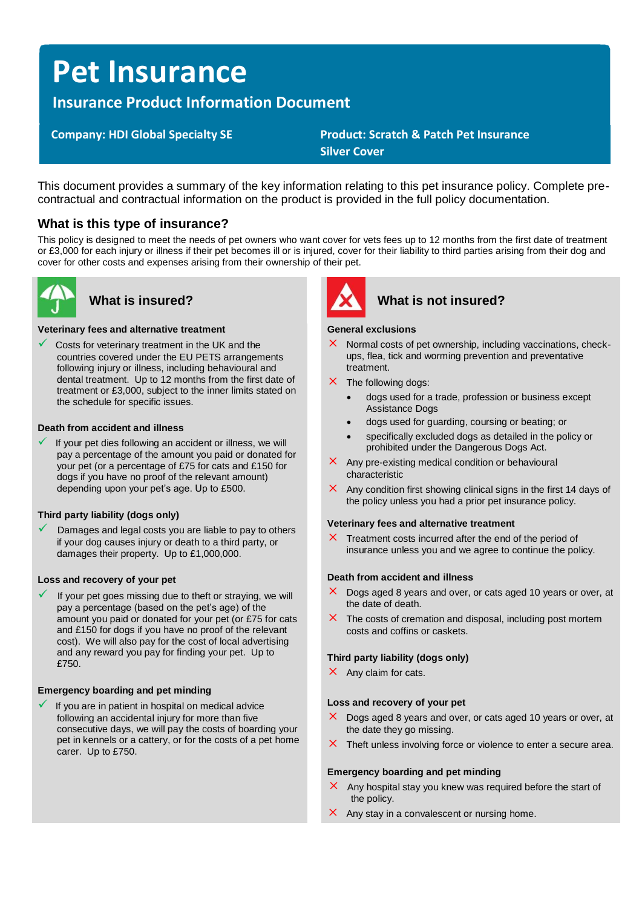# **Pet Insurance**

**Insurance Product Information Document**

 **Company: HDI Global Specialty SE Product: Scratch & Patch Pet Insurance Silver Cover**

This document provides a summary of the key information relating to this pet insurance policy. Complete precontractual and contractual information on the product is provided in the full policy documentation.

# **What is this type of insurance?**

This policy is designed to meet the needs of pet owners who want cover for vets fees up to 12 months from the first date of treatment or £3,000 for each injury or illness if their pet becomes ill or is injured, cover for their liability to third parties arising from their dog and cover for other costs and expenses arising from their ownership of their pet.



### **Veterinary fees and alternative treatment**

Costs for veterinary treatment in the UK and the countries covered under the EU PETS arrangements following injury or illness, including behavioural and dental treatment. Up to 12 months from the first date of treatment or £3,000, subject to the inner limits stated on the schedule for specific issues.

#### **Death from accident and illness**

If your pet dies following an accident or illness, we will pay a percentage of the amount you paid or donated for your pet (or a percentage of £75 for cats and £150 for dogs if you have no proof of the relevant amount) depending upon your pet's age. Up to £500.

### **Third party liability (dogs only)**

Damages and legal costs you are liable to pay to others if your dog causes injury or death to a third party, or damages their property. Up to £1,000,000.

### **Loss and recovery of your pet**

If your pet goes missing due to theft or straying, we will pay a percentage (based on the pet's age) of the amount you paid or donated for your pet (or £75 for cats and £150 for dogs if you have no proof of the relevant cost). We will also pay for the cost of local advertising and any reward you pay for finding your pet. Up to £750.

### **Emergency boarding and pet minding**

If you are in patient in hospital on medical advice following an accidental injury for more than five consecutive days, we will pay the costs of boarding your pet in kennels or a cattery, or for the costs of a pet home carer. Up to £750.



# **What is insured? What is not insured?**

#### **General exclusions**

- $\times$  Normal costs of pet ownership, including vaccinations, checkups, flea, tick and worming prevention and preventative treatment.
- $\times$  The following dogs:
	- dogs used for a trade, profession or business except Assistance Dogs
	- dogs used for guarding, coursing or beating; or
	- specifically excluded dogs as detailed in the policy or prohibited under the Dangerous Dogs Act.
- $\times$  Any pre-existing medical condition or behavioural characteristic
- $\times$  Any condition first showing clinical signs in the first 14 days of the policy unless you had a prior pet insurance policy.

#### **Veterinary fees and alternative treatment**

 $\times$  Treatment costs incurred after the end of the period of insurance unless you and we agree to continue the policy.

### **Death from accident and illness**

- $\times$  Dogs aged 8 years and over, or cats aged 10 years or over, at the date of death.
- $\times$  The costs of cremation and disposal, including post mortem costs and coffins or caskets.

### **Third party liability (dogs only)**

 $\times$  Any claim for cats.

#### **Loss and recovery of your pet**

- $\times$  Dogs aged 8 years and over, or cats aged 10 years or over, at the date they go missing.
- $\times$  Theft unless involving force or violence to enter a secure area.

#### **Emergency boarding and pet minding**

- $\times$  Any hospital stay you knew was required before the start of the policy.
- $\times$  Any stay in a convalescent or nursing home.